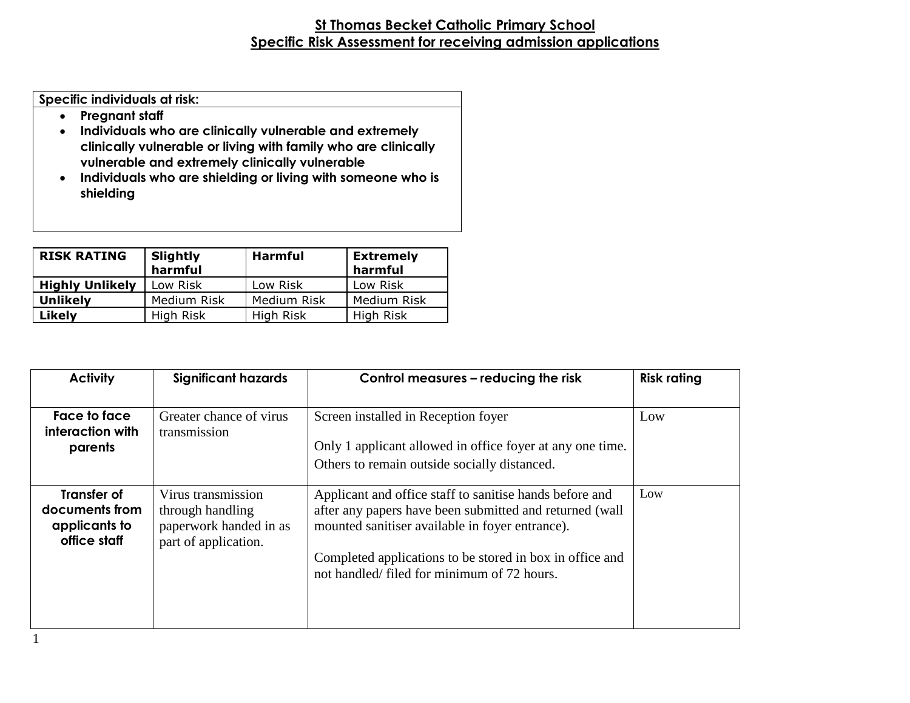## **St Thomas Becket Catholic Primary School Specific Risk Assessment for receiving admission applications**

**Specific individuals at risk:**

- **Pregnant staff**
- **Individuals who are clinically vulnerable and extremely clinically vulnerable or living with family who are clinically vulnerable and extremely clinically vulnerable**
- **Individuals who are shielding or living with someone who is shielding**

| <b>RISK RATING</b>     | Slightly<br>harmful | <b>Harmful</b> | <b>Extremely</b><br>harmful |
|------------------------|---------------------|----------------|-----------------------------|
| <b>Highly Unlikely</b> | Low Risk            | Low Risk       | Low Risk                    |
| <b>Unlikely</b>        | Medium Risk         | Medium Risk    | Medium Risk                 |
| Likely                 | High Risk           | High Risk      | High Risk                   |

| <b>Activity</b>                                                       | <b>Significant hazards</b>                                                               | Control measures – reducing the risk                                                                                                                                                                                                                                            | <b>Risk rating</b> |
|-----------------------------------------------------------------------|------------------------------------------------------------------------------------------|---------------------------------------------------------------------------------------------------------------------------------------------------------------------------------------------------------------------------------------------------------------------------------|--------------------|
| Face to face<br>interaction with<br>parents                           | Greater chance of virus<br>transmission                                                  | Screen installed in Reception foyer<br>Only 1 applicant allowed in office foyer at any one time.<br>Others to remain outside socially distanced.                                                                                                                                | Low                |
| <b>Transfer of</b><br>documents from<br>applicants to<br>office staff | Virus transmission<br>through handling<br>paperwork handed in as<br>part of application. | Applicant and office staff to sanitise hands before and<br>after any papers have been submitted and returned (wall<br>mounted sanitiser available in foyer entrance).<br>Completed applications to be stored in box in office and<br>not handled/filed for minimum of 72 hours. | Low                |